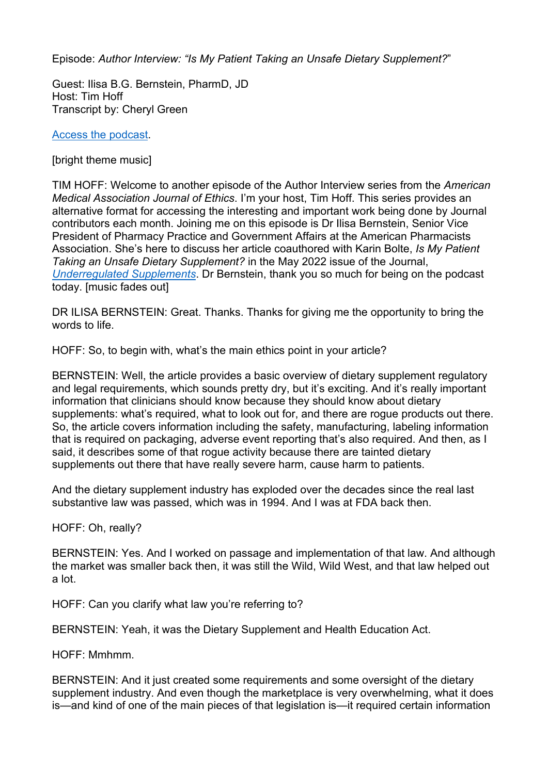Episode: *Author Interview: "Is My Patient Taking an Unsafe Dietary Supplement?*"

Guest: Ilisa B.G. Bernstein, PharmD, JD Host: Tim Hoff Transcript by: Cheryl Green

[Access the podcast.](https://journalofethics.ama-assn.org/podcast/author-interview-my-patient-taking-tainted-dietary-supplement)

[bright theme music]

TIM HOFF: Welcome to another episode of the Author Interview series from the *American Medical Association Journal of Ethics*. I'm your host, Tim Hoff. This series provides an alternative format for accessing the interesting and important work being done by Journal contributors each month. Joining me on this episode is Dr Ilisa Bernstein, Senior Vice President of Pharmacy Practice and Government Affairs at the American Pharmacists Association. She's here to discuss her article coauthored with Karin Bolte, *Is My Patient Taking an Unsafe Dietary Supplement?* in the May 2022 issue of the Journal, *[Underregulated Supplements](https://journalofethics.ama-assn.org/issue/unregulated-supplements)*. Dr Bernstein, thank you so much for being on the podcast today. [music fades out]

DR ILISA BERNSTEIN: Great. Thanks. Thanks for giving me the opportunity to bring the words to life.

HOFF: So, to begin with, what's the main ethics point in your article?

BERNSTEIN: Well, the article provides a basic overview of dietary supplement regulatory and legal requirements, which sounds pretty dry, but it's exciting. And it's really important information that clinicians should know because they should know about dietary supplements: what's required, what to look out for, and there are rogue products out there. So, the article covers information including the safety, manufacturing, labeling information that is required on packaging, adverse event reporting that's also required. And then, as I said, it describes some of that rogue activity because there are tainted dietary supplements out there that have really severe harm, cause harm to patients.

And the dietary supplement industry has exploded over the decades since the real last substantive law was passed, which was in 1994. And I was at FDA back then.

HOFF: Oh, really?

BERNSTEIN: Yes. And I worked on passage and implementation of that law. And although the market was smaller back then, it was still the Wild, Wild West, and that law helped out a lot.

HOFF: Can you clarify what law you're referring to?

BERNSTEIN: Yeah, it was the Dietary Supplement and Health Education Act.

HOFF: Mmhmm.

BERNSTEIN: And it just created some requirements and some oversight of the dietary supplement industry. And even though the marketplace is very overwhelming, what it does is—and kind of one of the main pieces of that legislation is—it required certain information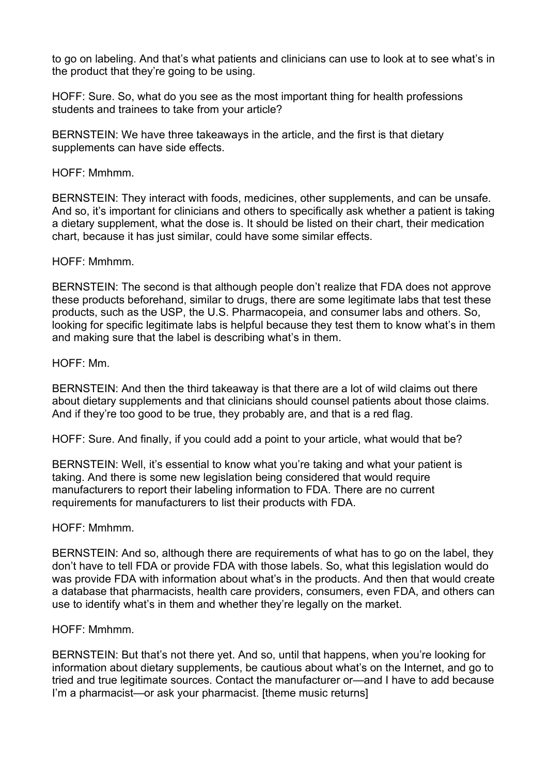to go on labeling. And that's what patients and clinicians can use to look at to see what's in the product that they're going to be using.

HOFF: Sure. So, what do you see as the most important thing for health professions students and trainees to take from your article?

BERNSTEIN: We have three takeaways in the article, and the first is that dietary supplements can have side effects.

HOFF: Mmhmm.

BERNSTEIN: They interact with foods, medicines, other supplements, and can be unsafe. And so, it's important for clinicians and others to specifically ask whether a patient is taking a dietary supplement, what the dose is. It should be listed on their chart, their medication chart, because it has just similar, could have some similar effects.

HOFF: Mmhmm.

BERNSTEIN: The second is that although people don't realize that FDA does not approve these products beforehand, similar to drugs, there are some legitimate labs that test these products, such as the USP, the U.S. Pharmacopeia, and consumer labs and others. So, looking for specific legitimate labs is helpful because they test them to know what's in them and making sure that the label is describing what's in them.

HOFF: Mm.

BERNSTEIN: And then the third takeaway is that there are a lot of wild claims out there about dietary supplements and that clinicians should counsel patients about those claims. And if they're too good to be true, they probably are, and that is a red flag.

HOFF: Sure. And finally, if you could add a point to your article, what would that be?

BERNSTEIN: Well, it's essential to know what you're taking and what your patient is taking. And there is some new legislation being considered that would require manufacturers to report their labeling information to FDA. There are no current requirements for manufacturers to list their products with FDA.

HOFF: Mmhmm.

BERNSTEIN: And so, although there are requirements of what has to go on the label, they don't have to tell FDA or provide FDA with those labels. So, what this legislation would do was provide FDA with information about what's in the products. And then that would create a database that pharmacists, health care providers, consumers, even FDA, and others can use to identify what's in them and whether they're legally on the market.

## HOFF: Mmhmm.

BERNSTEIN: But that's not there yet. And so, until that happens, when you're looking for information about dietary supplements, be cautious about what's on the Internet, and go to tried and true legitimate sources. Contact the manufacturer or—and I have to add because I'm a pharmacist—or ask your pharmacist. [theme music returns]